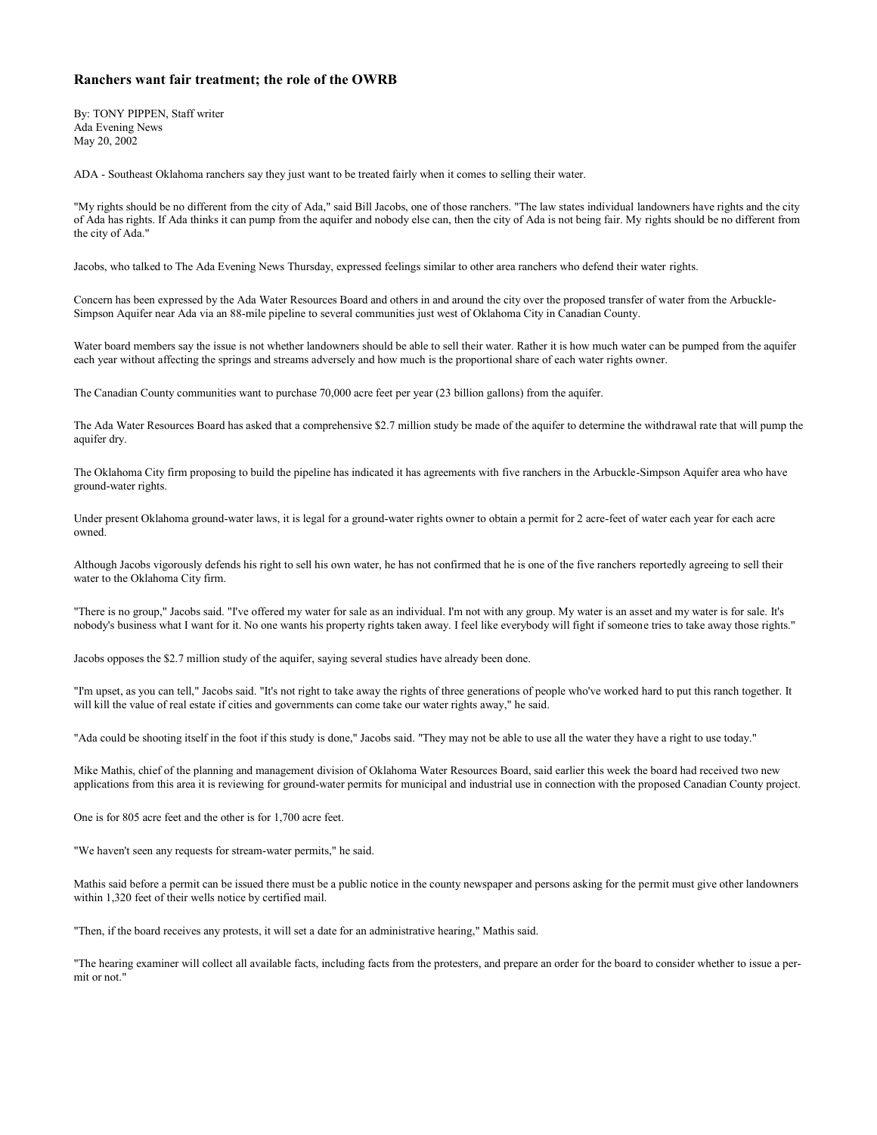## **Ranchers want fair treatment; the role of the OWRB**

By: TONY PIPPEN, Staff writer Ada Evening News May 20, 2002

ADA - Southeast Oklahoma ranchers say they just want to be treated fairly when it comes to selling their water.

"My rights should be no different from the city of Ada," said Bill Jacobs, one of those ranchers. "The law states individual landowners have rights and the city of Ada has rights. If Ada thinks it can pump from the aquifer and nobody else can, then the city of Ada is not being fair. My rights should be no different from the city of Ada."

Jacobs, who talked to The Ada Evening News Thursday, expressed feelings similar to other area ranchers who defend their water rights.

Concern has been expressed by the Ada Water Resources Board and others in and around the city over the proposed transfer of water from the Arbuckle-Simpson Aquifer near Ada via an 88-mile pipeline to several communities just west of Oklahoma City in Canadian County.

Water board members say the issue is not whether landowners should be able to sell their water. Rather it is how much water can be pumped from the aquifer each year without affecting the springs and streams adversely and how much is the proportional share of each water rights owner.

The Canadian County communities want to purchase 70,000 acre feet per year (23 billion gallons) from the aquifer.

The Ada Water Resources Board has asked that a comprehensive \$2.7 million study be made of the aquifer to determine the withdrawal rate that will pump the aquifer dry.

The Oklahoma City firm proposing to build the pipeline has indicated it has agreements with five ranchers in the Arbuckle-Simpson Aquifer area who have ground-water rights.

Under present Oklahoma ground-water laws, it is legal for a ground-water rights owner to obtain a permit for 2 acre-feet of water each year for each acre owned.

Although Jacobs vigorously defends his right to sell his own water, he has not confirmed that he is one of the five ranchers reportedly agreeing to sell their water to the Oklahoma City firm.

"There is no group," Jacobs said. "I've offered my water for sale as an individual. I'm not with any group. My water is an asset and my water is for sale. It's nobody's business what I want for it. No one wants his property rights taken away. I feel like everybody will fight if someone tries to take away those rights."

Jacobs opposes the \$2.7 million study of the aquifer, saying several studies have already been done.

"I'm upset, as you can tell," Jacobs said. "It's not right to take away the rights of three generations of people who've worked hard to put this ranch together. It will kill the value of real estate if cities and governments can come take our water rights away," he said.

"Ada could be shooting itself in the foot if this study is done," Jacobs said. "They may not be able to use all the water they have a right to use today."

Mike Mathis, chief of the planning and management division of Oklahoma Water Resources Board, said earlier this week the board had received two new applications from this area it is reviewing for ground-water permits for municipal and industrial use in connection with the proposed Canadian County project.

One is for 805 acre feet and the other is for 1,700 acre feet.

"We haven't seen any requests for stream-water permits," he said.

Mathis said before a permit can be issued there must be a public notice in the county newspaper and persons asking for the permit must give other landowners within 1,320 feet of their wells notice by certified mail.

"Then, if the board receives any protests, it will set a date for an administrative hearing," Mathis said.

"The hearing examiner will collect all available facts, including facts from the protesters, and prepare an order for the board to consider whether to issue a permit or not."